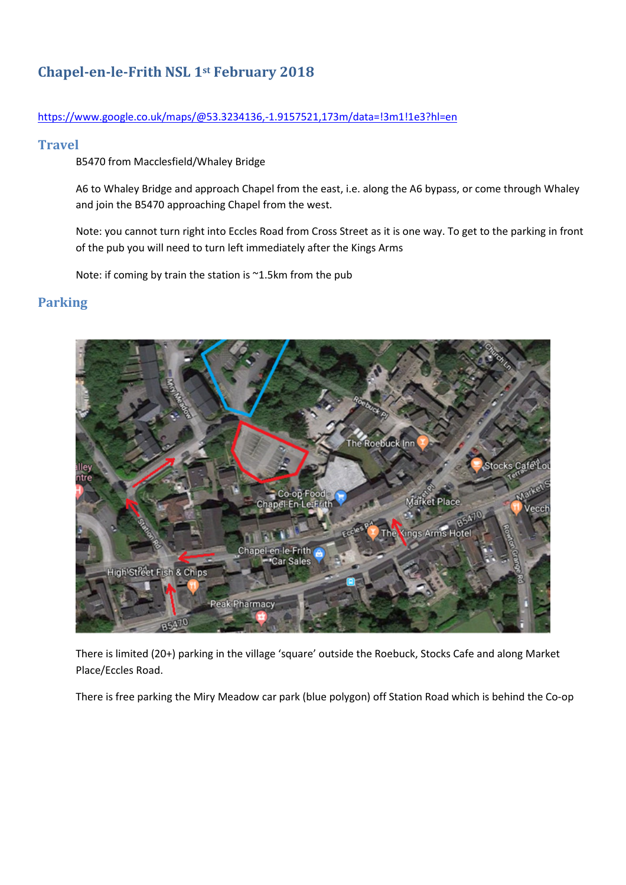# Chapel-en-le-Frith NSL 1st February 2018

#### https://www.google.co.uk/maps/@53.3234136,-1.9157521,173m/data=!3m1!1e3?hl=en

### **Travel**

B5470 from Macclesfield/Whaley Bridge

A6 to Whaley Bridge and approach Chapel from the east, i.e. along the A6 bypass, or come through Whaley and join the B5470 approaching Chapel from the west.

Note: you cannot turn right into Eccles Road from Cross Street as it is one way. To get to the parking in front of the pub you will need to turn left immediately after the Kings Arms

Note: if coming by train the station is ~1.5km from the pub

## Parking



There is limited (20+) parking in the village 'square' outside the Roebuck, Stocks Cafe and along Market Place/Eccles Road.

There is free parking the Miry Meadow car park (blue polygon) off Station Road which is behind the Co-op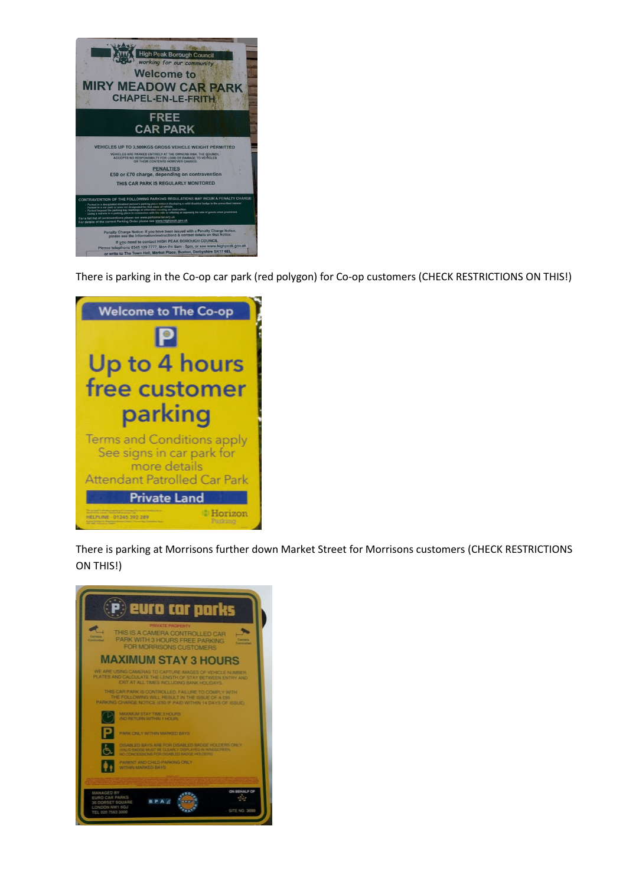

There is parking in the Co-op car park (red polygon) for Co-op customers (CHECK RESTRICTIONS ON THIS!)



There is parking at Morrisons further down Market Street for Morrisons customers (CHECK RESTRICTIONS ON THIS!)